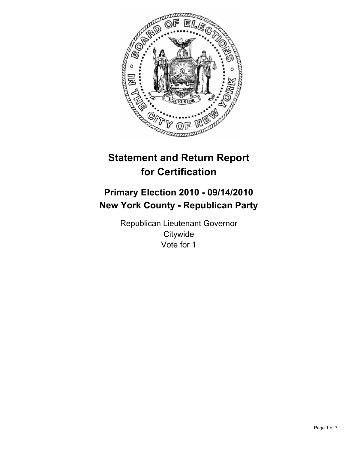

# **Statement and Return Report for Certification**

# **Primary Election 2010 - 09/14/2010 New York County - Republican Party**

Republican Lieutenant Governor **Citywide** Vote for 1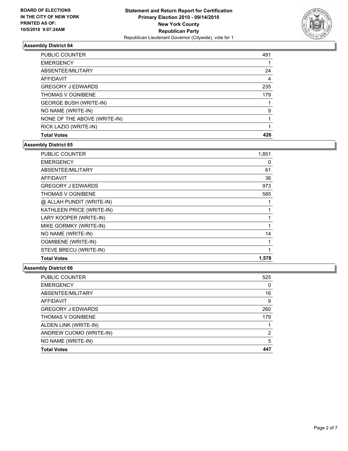

| <b>PUBLIC COUNTER</b>         | 491 |
|-------------------------------|-----|
| <b>EMERGENCY</b>              |     |
| ABSENTEE/MILITARY             | 24  |
| <b>AFFIDAVIT</b>              | 4   |
| <b>GREGORY J EDWARDS</b>      | 235 |
| <b>THOMAS V OGNIBENE</b>      | 179 |
| <b>GEORGE BUSH (WRITE-IN)</b> |     |
| NO NAME (WRITE-IN)            | 9   |
| NONE OF THE ABOVE (WRITE-IN)  |     |
| RICK LAZIO (WRITE-IN)         |     |
| <b>Total Votes</b>            | 426 |

## **Assembly District 65**

| PUBLIC COUNTER             | 1,851 |
|----------------------------|-------|
| <b>EMERGENCY</b>           | 0     |
| ABSENTEE/MILITARY          | 61    |
| <b>AFFIDAVIT</b>           | 36    |
| <b>GREGORY J EDWARDS</b>   | 973   |
| <b>THOMAS V OGNIBENE</b>   | 585   |
| @ ALLAH PUNDIT (WRITE-IN)  |       |
| KATHLEEN PRICE (WRITE-IN)  | 1     |
| LARY KOOPER (WRITE-IN)     | 1     |
| MIKE GORMKY (WRITE-IN)     | 1     |
| NO NAME (WRITE-IN)         | 14    |
| <b>OGMIBENE (WRITE-IN)</b> | 1     |
| STEVE BRECU (WRITE-IN)     | 1     |
| <b>Total Votes</b>         | 1,578 |

| PUBLIC COUNTER           | 525 |
|--------------------------|-----|
| <b>EMERGENCY</b>         | 0   |
| ABSENTEE/MILITARY        | 16  |
| <b>AFFIDAVIT</b>         | 9   |
| <b>GREGORY J EDWARDS</b> | 260 |
| <b>THOMAS V OGNIBENE</b> | 179 |
| ALDEN LINK (WRITE-IN)    |     |
| ANDREW CUOMO (WRITE-IN)  | 2   |
| NO NAME (WRITE-IN)       | 5   |
| <b>Total Votes</b>       | 447 |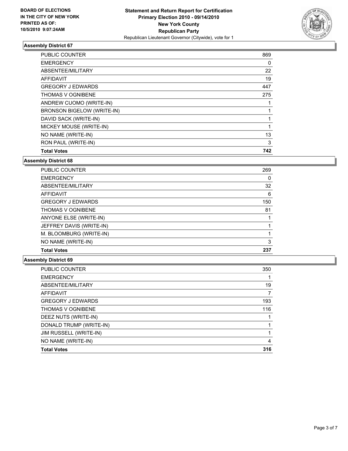

| PUBLIC COUNTER                    | 869 |
|-----------------------------------|-----|
| <b>EMERGENCY</b>                  | 0   |
| ABSENTEE/MILITARY                 | 22  |
| <b>AFFIDAVIT</b>                  | 19  |
| <b>GREGORY J EDWARDS</b>          | 447 |
| <b>THOMAS V OGNIBENE</b>          | 275 |
| ANDREW CUOMO (WRITE-IN)           |     |
| <b>BRONSON BIGELOW (WRITE-IN)</b> |     |
| DAVID SACK (WRITE-IN)             |     |
| MICKEY MOUSE (WRITE-IN)           | 1   |
| NO NAME (WRITE-IN)                | 13  |
| RON PAUL (WRITE-IN)               | 3   |
| <b>Total Votes</b>                | 742 |

#### **Assembly District 68**

| <b>PUBLIC COUNTER</b>    | 269 |
|--------------------------|-----|
| <b>EMERGENCY</b>         | 0   |
| ABSENTEE/MILITARY        | 32  |
| <b>AFFIDAVIT</b>         | 6   |
| <b>GREGORY J EDWARDS</b> | 150 |
| <b>THOMAS V OGNIBENE</b> | 81  |
| ANYONE ELSE (WRITE-IN)   |     |
| JEFFREY DAVIS (WRITE-IN) |     |
| M. BLOOMBURG (WRITE-IN)  |     |
| NO NAME (WRITE-IN)       | 3   |
| <b>Total Votes</b>       | 237 |

| PUBLIC COUNTER           | 350 |
|--------------------------|-----|
| <b>EMERGENCY</b>         |     |
| ABSENTEE/MILITARY        | 19  |
| AFFIDAVIT                |     |
| <b>GREGORY J EDWARDS</b> | 193 |
| <b>THOMAS V OGNIBENE</b> | 116 |
| DEEZ NUTS (WRITE-IN)     |     |
| DONALD TRUMP (WRITE-IN)  |     |
| JIM RUSSELL (WRITE-IN)   |     |
| NO NAME (WRITE-IN)       | 4   |
| <b>Total Votes</b>       | 316 |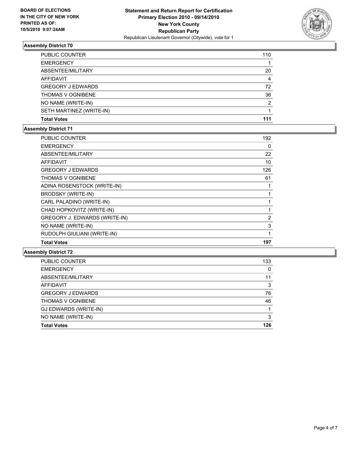

| PUBLIC COUNTER           | 110 |
|--------------------------|-----|
| <b>EMERGENCY</b>         |     |
| ABSENTEE/MILITARY        | 20  |
| <b>AFFIDAVIT</b>         | 4   |
| <b>GREGORY J EDWARDS</b> | 72  |
| <b>THOMAS V OGNIBENE</b> | 36  |
| NO NAME (WRITE-IN)       | 2   |
| SETH MARTINEZ (WRITE-IN) |     |
| <b>Total Votes</b>       | 111 |

### **Assembly District 71**

| <b>PUBLIC COUNTER</b>         | 192          |
|-------------------------------|--------------|
| <b>EMERGENCY</b>              | 0            |
| ABSENTEE/MILITARY             | 22           |
| <b>AFFIDAVIT</b>              | 10           |
| <b>GREGORY J EDWARDS</b>      | 126          |
| <b>THOMAS V OGNIBENE</b>      | 61           |
| ADINA ROSENSTOCK (WRITE-IN)   |              |
| <b>BRODSKY (WRITE-IN)</b>     | 1            |
| CARL PALADINO (WRITE-IN)      | 1            |
| CHAD HOPKOVITZ (WRITE-IN)     | $\mathbf{1}$ |
| GREGORY J. EDWARDS (WRITE-IN) | 2            |
| NO NAME (WRITE-IN)            | 3            |
| RUDOLPH GIULIANI (WRITE-IN)   | 1            |
| <b>Total Votes</b>            | 197          |

| <b>Total Votes</b>       | 126 |
|--------------------------|-----|
| NO NAME (WRITE-IN)       | 3   |
| GJ EDWARDS (WRITE-IN)    |     |
| <b>THOMAS V OGNIBENE</b> | 46  |
| <b>GREGORY J EDWARDS</b> | 76  |
| <b>AFFIDAVIT</b>         | 3   |
| ABSENTEE/MILITARY        | 11  |
| <b>EMERGENCY</b>         | 0   |
| PUBLIC COUNTER           | 133 |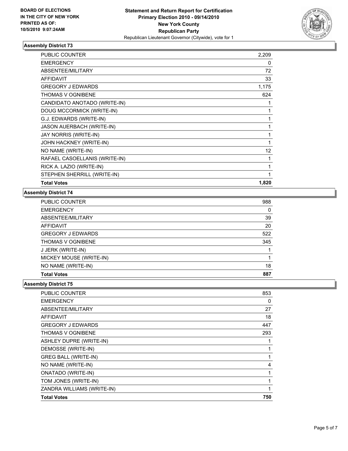

| <b>PUBLIC COUNTER</b>         | 2,209 |
|-------------------------------|-------|
| <b>EMERGENCY</b>              | 0     |
| <b>ABSENTEE/MILITARY</b>      | 72    |
| <b>AFFIDAVIT</b>              | 33    |
| <b>GREGORY J EDWARDS</b>      | 1,175 |
| THOMAS V OGNIBENE             | 624   |
| CANDIDATO ANOTADO (WRITE-IN)  | 1     |
| DOUG MCCORMICK (WRITE-IN)     | 1     |
| G.J. EDWARDS (WRITE-IN)       | 1     |
| JASON AUERBACH (WRITE-IN)     | 1     |
| JAY NORRIS (WRITE-IN)         | 1     |
| JOHN HACKNEY (WRITE-IN)       | 1     |
| NO NAME (WRITE-IN)            | 12    |
| RAFAEL CASOELLANIS (WRITE-IN) | 1     |
| RICK A. LAZIO (WRITE-IN)      | 1     |
| STEPHEN SHERRILL (WRITE-IN)   | 1     |
| <b>Total Votes</b>            | 1,820 |

#### **Assembly District 74**

| <b>PUBLIC COUNTER</b>    | 988 |
|--------------------------|-----|
| <b>EMERGENCY</b>         | 0   |
| ABSENTEE/MILITARY        | 39  |
| AFFIDAVIT                | 20  |
| <b>GREGORY J EDWARDS</b> | 522 |
| <b>THOMAS V OGNIBENE</b> | 345 |
| J JERK (WRITE-IN)        |     |
| MICKEY MOUSE (WRITE-IN)  |     |
| NO NAME (WRITE-IN)       | 18  |
| <b>Total Votes</b>       | 887 |

| PUBLIC COUNTER              | 853 |
|-----------------------------|-----|
| <b>EMERGENCY</b>            | 0   |
| ABSENTEE/MILITARY           | 27  |
| <b>AFFIDAVIT</b>            | 18  |
| <b>GREGORY J EDWARDS</b>    | 447 |
| THOMAS V OGNIBENE           | 293 |
| ASHLEY DUPRE (WRITE-IN)     |     |
| DEMOSSE (WRITE-IN)          | 1   |
| <b>GREG BALL (WRITE-IN)</b> | 1   |
| NO NAME (WRITE-IN)          | 4   |
| <b>ONATADO (WRITE-IN)</b>   | 1   |
| TOM JONES (WRITE-IN)        | 1   |
| ZANDRA WILLIAMS (WRITE-IN)  | 1   |
| <b>Total Votes</b>          | 750 |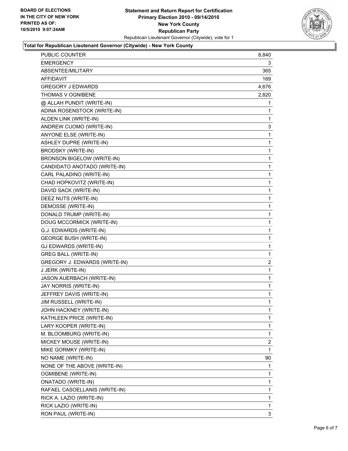## **Statement and Return Report for Certification Primary Election 2010 - 09/14/2010 New York County Republican Party** Republican Lieutenant Governor (Citywide), vote for 1



#### **Total for Republican Lieutenant Governor (Citywide) - New York County**

| <b>PUBLIC COUNTER</b>                | 8,840 |
|--------------------------------------|-------|
| <b>EMERGENCY</b>                     | 3     |
| ABSENTEE/MILITARY                    | 365   |
| AFFIDAVIT                            | 169   |
| <b>GREGORY J EDWARDS</b>             | 4,676 |
| THOMAS V OGNIBENE                    | 2,820 |
| @ ALLAH PUNDIT (WRITE-IN)            | 1     |
| ADINA ROSENSTOCK (WRITE-IN)          | 1     |
| ALDEN LINK (WRITE-IN)                | 1     |
| ANDREW CUOMO (WRITE-IN)              | 3     |
| ANYONE ELSE (WRITE-IN)               | 1     |
| ASHLEY DUPRE (WRITE-IN)              | 1     |
| <b>BRODSKY (WRITE-IN)</b>            | 1     |
| BRONSON BIGELOW (WRITE-IN)           | 1     |
| CANDIDATO ANOTADO (WRITE-IN)         | 1     |
| CARL PALADINO (WRITE-IN)             | 1     |
| CHAD HOPKOVITZ (WRITE-IN)            | 1     |
| DAVID SACK (WRITE-IN)                | 1     |
| DEEZ NUTS (WRITE-IN)                 | 1     |
| DEMOSSE (WRITE-IN)                   | 1     |
| DONALD TRUMP (WRITE-IN)              | 1     |
| DOUG MCCORMICK (WRITE-IN)            | 1     |
| G.J. EDWARDS (WRITE-IN)              | 1     |
| <b>GEORGE BUSH (WRITE-IN)</b>        | 1     |
| GJ EDWARDS (WRITE-IN)                | 1     |
| <b>GREG BALL (WRITE-IN)</b>          | 1     |
| <b>GREGORY J. EDWARDS (WRITE-IN)</b> | 2     |
| J JERK (WRITE-IN)                    | 1     |
| JASON AUERBACH (WRITE-IN)            | 1     |
| JAY NORRIS (WRITE-IN)                | 1     |
| JEFFREY DAVIS (WRITE-IN)             | 1     |
| JIM RUSSELL (WRITE-IN)               | 1     |
| JOHN HACKNEY (WRITE-IN)              | 1     |
| KATHLEEN PRICE (WRITE-IN)            | 1     |
| LARY KOOPER (WRITE-IN)               | 1     |
| M. BLOOMBURG (WRITE-IN)              | 1     |
| MICKEY MOUSE (WRITE-IN)              | 2     |
| MIKE GORMKY (WRITE-IN)               | 1     |
| NO NAME (WRITE-IN)                   | 90    |
| NONE OF THE ABOVE (WRITE-IN)         | 1     |
| OGMIBENE (WRITE-IN)                  | 1     |
| <b>ONATADO (WRITE-IN)</b>            | 1     |
| RAFAEL CASOELLANIS (WRITE-IN)        | 1     |
| RICK A. LAZIO (WRITE-IN)             | 1     |
| RICK LAZIO (WRITE-IN)                | 1     |
| RON PAUL (WRITE-IN)                  | 3     |
|                                      |       |